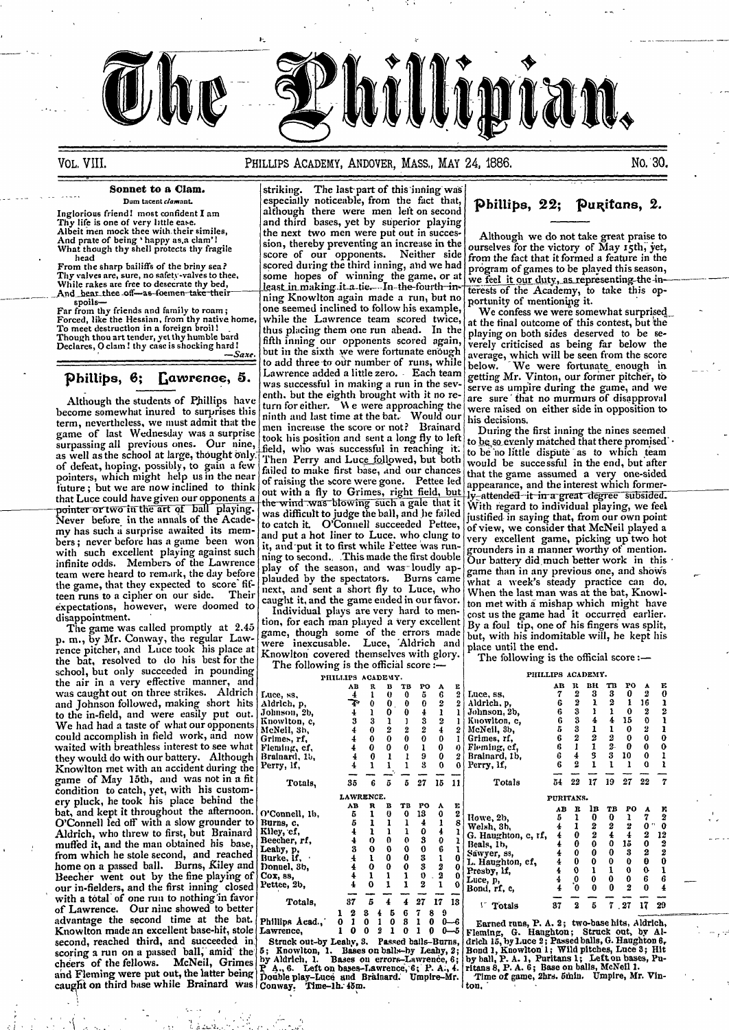

## VOL. VIII. **PHILLIPS ACADEMY, ANDOVER, MASS., MAY 24, 1886.** No. 30.

become somewhat inured to surprises this  $\begin{bmatrix} u & u & v \\ \text{min} & v & v \\ \text{min} & u & v \end{bmatrix}$  were raised the wealth of  $\begin{bmatrix} u & v \\ \text{min} & v \\ \text{min} & u \end{bmatrix}$  and  $\begin{bmatrix} u & v \\ \text{min} & v \\ \text{min} & v \end{bmatrix}$  and  $\begin{bmatrix} u & v \\ \text{min} & v \\ \text{min} & v \end{bmatrix}$  and term, nevertheless, we must admit that the number increase the score or not? Brainard<br>game of last Wednesday was a surprise  $\left| \begin{array}{l} \text{mm } \text{in} \text{m} \\ \text{non} \text{th } \text{m} \text{m} \end{array} \right|$  and sent a long flu to look surpassing all previous ones. Our nine, field, who was successful in reaching it to be so evenly matched that there promised surpassing all previous ones. Our nine, field, who was successful in reaching it. to be not little dispute as to which team. as went as the sense of the sense of defeat, hoping, possibly, to gain a few Then Perry and Luc<u>e follo</u>wed, but both would be successful in the end, but after pointers, which might help us in the near of raising the score pointer or two in the art of ball playing. the wind was blowing such a gale that it With regard to individual playing, we feel<br>Never before in the annals of the Acade-<br>my has such a surprise awaited its mem-<br>bers; never be hers; never before has a game been won it, and put it to first while Fettee was run-<br>with such excellent playing against such ning to second. This made the first double our hattery did much better worth in this infinite odds. Members of the Lawrence  $\begin{bmatrix} \text{ning to second.} \\ \text{play of the season, and was-loudly ap-} \\ \text{team were heard to remark, the day before  $\begin{bmatrix} \text{play of the season,} \\ \text{shown in any previous one, and shows} \end{bmatrix}$$ team were heard to remark, the day before play of the season, and was-loudly ap- game than in any previous one, and shows<br>the game, that they expected to score fit-<br>next and sent a short fly to I use who what a week's stea teen runs to a cipher on our side. Their next, and sent a short fly to Luce, who expectations, however, were doomed to analyze individual plays are very hard to menexpectations, however, were doomed to Individual plays are very hard to men-<br>disappointment.

p. m., by Mr. Conway, the regular Law-<br>rence pitcher, and Luce took his place at Knowlton covered themselves with glory. The following is The following is the official score school, but only succeeded in pounding The following is the official score school, but only succeeded in pounding The following is the official score school, but only succeeded in poundi and Johnson followed, making short hits to the in-field, and were easily put out. We had had a taste of what our opponents they would do with our battery. Although Knowlton met with an accident during the game of May 15th, and was not in a fit condition to catch, yet, with his customfrom which he stole second, and reached our in-fielders, and the first inning closed<br>with a total of one run to nothing in favor of Lawrence. Our nine showed to better advantage the second time at the bat.  $|p|$ Knowlton made an excellent base-hit, stole  $|p|$ second, reached third, and succeeded in. Struck out-by Leaby, 8. Passed balls-Burns, drlch 15, by Luce 2; Passed balls, G. Haughton 6, scoring a run on a passed ball, amid the 5; Knowlton, 1. Bases on balls-by Leahy, 2; Bond 1, Knowlton 1; Wild pitches, Luce 3; Hit<br>cheers of the fellows. McNeil, Grimes by Aldrich, 1. Bases on errors-Lawrence, 6; by ball, caught on third base while Brainard was Conway. Time-lh:  $48m$ .  $\frac{1}{100}$ 

**Sonnet to a Clam.**  $\begin{array}{c|c}\n\text{striking.} & \text{The last part of this inning was} \\
\text{Dum tacent of the fact that.}\n\end{array}$  $D_{\text{um treatment }down}$  especially noticeable, from the fact that, **1(h)**  $\sum_{i=1}^{n}$  **1(h)**  $\sum_{i=1}^{n}$  **1(h)**  $\sum_{i=1}^{n}$  **1(h)**  $\sum_{i=1}^{n}$  **1(h)**  $\sum_{i=1}^{n}$  **1(h)**  $\sum_{i=1}^{n}$  **1(h)**  $\sum_{i=1}^{n}$  **1(h)**  $\sum_{i=1}^{n}$  **1(h)** Inglorious friend! most confident  $I$  am although there were men left on second *Inglorious friend!* most confident I am although there were men left on second<br>
Thy life is one of very little ease.<br>
Albeit men mock thee with their similes,<br>
the next two men were put out in succesthe next two men were put out in succes-<br>sion, thereby preventing an increase in the ourselves for the victory of May 15th, yet. And prate of being 'happy as.a clam'!<br>What though thy shell protects thy fragile sion, thereby preventing an increase in the ourselves for the victory of May 15th, yet, what though thy shell protects thy fragile sion, ther head score of our opponents. Neither side from the fact that it formed a feature in the head scored during the third inning, and we had program of games to be played this season, From the sharp bailiffs of the briny sea?<br>
Thy valves are, sure, no safety-valves to thee,<br>
Thy valves are, sure, no safety-valves to thee,<br>
Some hopes of winning the game, or at we feel it our dist in season,<br>
While rake one seemed inclined to follow his example,  $\begin{bmatrix} \cdot \\ \cdot \end{bmatrix}$  We confess we were somewhat surprised while the Lawrence team scored twice, at the final outcome of this contest, but the Forced, like the Hessian, from thy native home, while the Lawrence team scored twice, at the final outcome of this contest, but the Tower district the Tower of the Care of the scored twice, at the final outcome of this con thus placing them one run ahead. In the fifth inning our opponents scored again, Though thou art tender, yet thy humble bard fifth inning our opponents scored again, verely criticised as being far below the Declares, 0 clam ! thy case is shocking hard but in the sixth we were fortunate enough average, but in the sixth we were fortunate enough  $\begin{vmatrix} \cos \theta & \cos \theta \\ \cos \theta & \sin \theta \end{vmatrix}$  which will be seen from the score in the score form the score in the score of runs, while  $\begin{vmatrix} \cos \theta & \sin \theta \\ \cos \theta & \cos \theta \end{vmatrix}$  were fortunate enough to add three to our number of runs, while below. We were fortunate enough in Phillips,  $\mathbf{6};$  Lawrence, 5. Lawrence added a little zero. Each team getting Mr. Vinton, our former pitcher, to ....  $\mathbf{c}$  was successful in making a run in the sev- serve as umpire during the game, and we Although the students of Phillips have enth. but the eighth brought with it no re- are sure that no murmurs of disapproval<br>come somewhat inured to surprises this turn for either. We were approaching the were raised on eit men increase the score or not? Brainard During the first inning the nines seemed<br>took his position and sent a long fly to left  $|t_0|$  be so evenly matched that there promised failed to make first base, *and our chances* of raising the score were gone. Pettee led pointers, when might might help us include to the near of raising the score were gone. Pettee led appearance, and the interest which former-<br>that Luce could have given our opponents a out with a fly to Grimes, right field that Luce could have given our opponents a lout with a fly to Grimes, right held, but  $\hat{w}$  attended it in a great degree subsided.<br>pointer or two in the art of ball playing, the wind was blowing such a gale that it With plauded by the spectators. Burns came what a week's steady practice can do, next, and sent a short fly to Luce, who When the last man was at the bat, Knowl-

The game was called promptly at  $2.45$  tion, for each man played a very excellent By a foul tip, one of his fingers was split, The game was called promptly at 2.40 game, though some of the errors made but, with his indomitable will, he kept his  $m_{\rm c}$  by Mr. Conway, the regular Law- game, though some of the errors made but, with his indomitable

| $30110011$ $0010$ $0111$ , $0000000000$                                   |                 | PHILLIPS ACADEMY. |  |    |    |    |                                               | FHILLIFS ACADEMY. |   |    |    |    |    |    |
|---------------------------------------------------------------------------|-----------------|-------------------|--|----|----|----|-----------------------------------------------|-------------------|---|----|----|----|----|----|
| the air in a very effective manner, and                                   |                 | AB                |  |    |    |    |                                               |                   |   |    |    |    |    |    |
| was caught out on three strikes. Aldrich                                  | Luce, ss.       |                   |  |    |    |    | Luce, ss.                                     |                   |   |    |    |    |    |    |
| and Johnson followed, making short hits                                   | Aldrich, p,     |                   |  |    |    |    | Aldrich, p,                                   |                   |   |    |    |    | ١6 |    |
| to the in-field, and were easily put out.                                 | Johnson, 2b,    |                   |  |    |    |    | Johnson, 2b,                                  |                   |   |    |    |    |    |    |
| We had had a taste of what our opponents                                  | Knowlton, c,    |                   |  |    |    |    | Knowlton, c.                                  |                   |   |    |    |    |    |    |
| could accomplish in field work, and now                                   | McNeil, 3b,     |                   |  |    |    |    | McNeil, 3b,                                   |                   |   |    |    |    |    |    |
|                                                                           | Grimes, rf,     |                   |  |    |    |    | Grimes, rf,                                   |                   |   |    |    |    |    |    |
| waited with breathless interest to see what                               | Fleming, cf,    |                   |  |    |    |    | Fleming, cf,                                  |                   |   |    |    |    |    |    |
| they would do with our battery. Although                                  | Brainard, 15,   |                   |  |    |    |    | Brainard, 1b,                                 |                   |   |    |    |    |    |    |
| Knowlton met with an accident during the                                  | Perry, If,      |                   |  |    |    |    | Perry, lf,                                    |                   |   |    |    |    |    |    |
| game of May 15th, and was not in a fit                                    |                 |                   |  |    |    |    |                                               | 54                |   | 17 | 19 |    | 22 |    |
| condition to catch, yet, with his custom-                                 | Totals,         | 35                |  | 27 | 15 |    | Totals                                        |                   |   |    |    |    |    |    |
|                                                                           |                 | <b>LAWRENCE.</b>  |  |    |    |    |                                               | PURITANS.         |   |    |    |    |    |    |
| ery pluck, he took his place behind the                                   |                 | AB                |  | PO |    |    |                                               |                   |   |    |    |    |    |    |
| bat, and kept it throughout the afternoon. $\int O^{\prime}$ Connell, 1b, |                 |                   |  | 13 |    |    | Howe, 2b,                                     |                   |   |    |    |    |    |    |
| O'Connell led off with a slow grounder to                                 | Burns, c.       |                   |  |    |    |    | Welsh, 3b,                                    |                   |   |    |    |    |    |    |
| Aldrich, who threw to first, but Brainard                                 | Kiley, cf,      |                   |  |    |    |    | G. Haughton, c, rf,                           |                   |   |    |    |    |    | 12 |
| muffed it, and the man obtained his base,                                 | Beecher, rf,    |                   |  |    |    |    | Beals, 1b,                                    |                   |   |    |    | lб |    |    |
| from which he stole second, and reached                                   | Leahy, p,       |                   |  |    |    |    | Sawyer, ss,                                   |                   |   |    |    |    |    |    |
|                                                                           | Burke, If,      |                   |  |    |    |    | L. Haughton, cf,                              |                   |   |    |    |    |    |    |
| home on a passed ball. Burns, Kiley and                                   | Donuel, 8b,     |                   |  |    |    |    | Presby, If,                                   |                   |   |    |    |    |    |    |
| Beecher went out by the fine playing of                                   | Cox, ss,        |                   |  |    |    |    | Luce, p,                                      |                   |   |    |    |    |    |    |
| our in-fielders, and the first inning closed                              | Pettee, 2b,     |                   |  |    |    |    | Bond, rf, c,                                  |                   |   |    |    |    |    |    |
| with a total of one run to nothing in favor                               | Totals,         |                   |  |    |    | 18 |                                               |                   |   |    |    |    |    |    |
| of Lawrence. Our nine showed to better                                    |                 |                   |  |    |    |    | <sup>1</sup> Totals                           | 37                | 2 |    |    | 27 |    |    |
| advantage the second time at the bat.                                     | Phillips Acad., |                   |  |    |    |    |                                               |                   |   |    |    |    |    |    |
| Knowlton made an excellent base-hit, stole Lawrence,                      |                 |                   |  |    |    |    | Earned runs, P. A. 2; two-base hits, Aldrich, |                   |   |    |    |    |    |    |
|                                                                           |                 |                   |  |    |    |    | Fleming, G. Haughton; Struck out, by Al-      |                   |   |    |    |    |    |    |

ught it, and the game ended in our favor.  $\vert$  ton met with a mishap which might have Individual plays are very hard to men- $\vert$  cost us the game had it occurred earlier.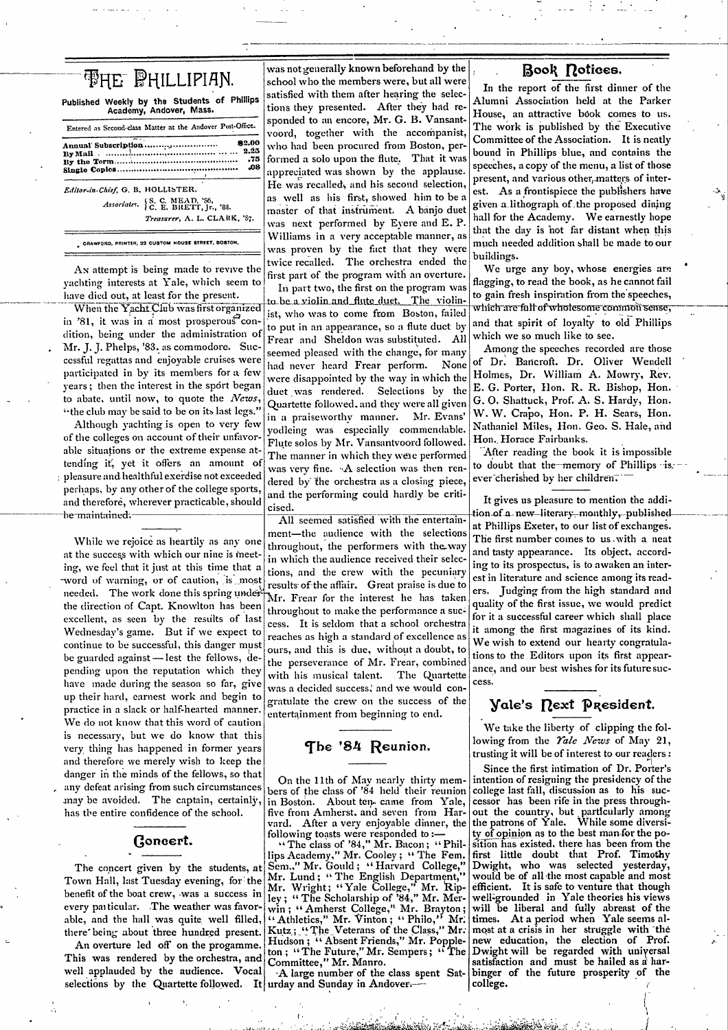| <b>FHE PHILLIPIAN.</b>                                                   |  |
|--------------------------------------------------------------------------|--|
| Published Weekly by the Students of Phillips<br>Academy, Andover, Mass.  |  |
| Entered as Second-class Matter at the Andover Post-Office.               |  |
| 82.00<br>Annual Subscription<br>2.25<br>-75<br>.08                       |  |
| Editor-in-Chief, G. B. HOLLISTER.<br>Associates. $S, C, MEAD, S6$ , 188. |  |
| Treasurer, A. L. CLARK, 'S7.                                             |  |

CRAWFORD, PRINTER, 22 CUSTOM HOUSE STREET, BOSTON,

An attempt is being made to revive the yachting interests at Yale, which seem to have died out, at least for the present.

When the Yacht Club was first organized in '81, it was in a most prosperous condition, being under the administration of 'Mr. J. J. Phelps, '83. as commodore. Successful regattas and enjoyable cruises were participated in by its members for a few years; then the interest in the sport began to abate, until now, to quote the News, "the club may be said to be on its last legs."

Although yachting is open to very few of the colleges on account of their unfavorable situations or the extreme expense attending it, yet it offers an amount of  $\frac{1}{2}$  pleasure and healthful exerdise not exceeded perhaps, by any other of the college sports, and therefore, wherever practicable, should be maintained.

While we rejoice as heartily as any one at the success with which our nine is meeting, we feel that it just at this time that a word of warning, or of caution, is most needed. The work done this spring under the direction of Capt. Knowlton has been excellent, as seen by the results of last Wednesday's game. But if we expect to continue to be successful, this danger must be guarded against -lest the fellows, depending upon the reputation which they have made during the season so far, give up their hard, earnest work and begin to practice in a slack or half-hearted manner. We do not know that this word of caution is necessary, but we do know that this very thing has happened in former years and therefore we merely wish to keep the danger in the minds of the fellows, so that any defeat arising from such circumstances may be avoided. The captain, certainly, has the entire confidence of the school.

### Goncert.

The concert given by the students, at Town Hall, last Tuesday evening, for the benefit of the boat crew, was a success in every particular. The weather was favorable, and the hall was quite well filled, there being about three hundred present.

An overture led off on the progamme. This was rendered by the orchestra, and well applauded by the audience. Vocal selections by the Quartette followed. It urday and Sunday in Andover.

was not generally known beforehand by the school who the members were, but all were satisfied with them after hearing the selections they presented. After they had responded to an encore, Mr. G. B. Vansantvoord, together with the accompanist, who had been procured from Boston, performed a solo upon the flute. That it was appreciated was shown by the applause. He was recalled, and his second selection, as well as his first, showed him to be a master of that instrument. A banjo duet was next performed by Eyere and E. P. Williams in a very acceptable manner, as was proven by the fact that they were twice recalled. The orchestra ended the first part of the program with an overture.

In part two, the first on the program was to be a violin and flute duet. The violinist, who was to come from Boston, failed to put in an appearance, so a flute duet by Frear and Sheldon was substituted. All seemed pleased with the change, for many had never heard Frear perform. None were disappointed by the way in which the duet was rendered. Selections by the Quartette followed, and they were all given in a praiseworthy manner. Mr. Evans' yodleing was especially commendable. Flute solos by Mr. Vansantvoord followed. The manner in which they were performed was very fine. A selection was then rendered by the orchestra as a closing piece, and the performing could hardly be criticised.

All seemed satisfied with the entertainment-the audience with the selections throughout, the performers with the way in which the audience received their selections, and the crew with the pecuniary results of the affair. Great praise is due to Mr. Frear for the interest he has taken throughout to make the performance a success. It is seldom that a school orchestra reaches as high a standard of excellence as ours, and this is due, without a doubt, to the perseverance of Mr. Frear, combined The Quartette with his musical talent. was a decided success, and we would congratulate the crew on the success of the entertainment from beginning to end.

The '84 Reunion.

On the 11th of May nearly thirty members of the class of '84 held their reunion in Boston. About ten came from Yale. five from Amherst, and seven from Harvard. After a very enjoyable dinner, the

following toasts were responded to :--<br>"The class of '84," Mr. Bacon; "Phil-<br>lips Academy," Mr. Cooley; "The Fem. Sem.," Mr. Gould; "Harvard College,"<br>Mr. Lund; "The English Department," Mr. Wright; "Yale College," Mr. Rip-<br>ley; "The Scholarship of '84," Mr. Merley; "The scholarship of ex, Mr. Mer-<br>win; "Amherst College," Mr. Brayton;<br>"Athletics," Mr. Vinton; "Philo," Mr.<br>Kutz; "The Veterans of the Class," Mr. Hudson; "Absent Friends," Mr. Popple-<br>ton; "The Future," Mr. Sempers; "The Committee," Mr. Manro.

A large number of the class spent Sat-

# Book notices.

In the report of the first dinner of the Alumni Association held at the Parker House, an attractive book comes to us. The work is published by the Executive Committee of the Association. It is neatly bound in Phillips blue, and contains the speeches, a copy of the menu, a list of those present, and various other, matters of interest. As a frontispiece the publishers have given a lithograph of the proposed dining hall for the Academy. We earnestly hope that the day is not far distant when this much needed addition shall be made to our buildings.

We urge any boy, whose energies are flagging, to read the book, as he cannot fail to gain fresh inspiration from the speeches, which are full of wholesome common sense, and that spirit of loyalty to old Phillips which we so much like to see.

Among the speeches recorded are those of Dr. Bancroft, Dr. Oliver Wendell Holmes, Dr. William A. Mowry, Rev. E. G. Porter, Hon. R. R. Bishop, Hon. G. O. Shattuck, Prof. A. S. Hardy, Hon. W. W. Crapo, Hon. P. H. Sears, Hon. Nathaniel Miles, Hon. Geo. S. Hale, and Hon. Horace Fairbanks.

After reading the book it is impossible to doubt that the memory of Phillips is. ever cherished by her children.

It gives us pleasure to mention the addition of a - new -literary - monthly, --published at Phillips Exeter, to our list of exchanges. The first number comes to us with a neat and tasty appearance. Its object, according to its prospectus, is to awaken an interest in literature and science among its readers. Judging from the high standard and quality of the first issue, we would predict for it a successful career which shall place it among the first magazines of its kind. We wish to extend our hearty congratulations to the Editors upon its first appearance, and our best wishes for its future success.

# Vale's Rext President.

We take the liberty of clipping the following from the *Yale News* of May 21, trusting it will be of interest to our readers:

Since the first intimation of Dr. Porter's intention of resigning the presidency of the college last fall, discussion as to his successor has been rife in the press throughout the country, but particularly among<br>the patrons of Yale. While some diversity of opinion as to the best man-for the position has existed, there has been from the first little doubt that Prof. Timothy Dwight, who was selected yesterday, would be of all the most capable and most efficient. It is safe to venture that though well-grounded in Yale theories his views will be liberal and fully abreast of the times. At a period when Yale seems almost at a crisis in her struggle with the new education, the election of Prof. Dwight will be regarded with universal satisfaction and must be hailed as a harbinger of the future prosperity of the college.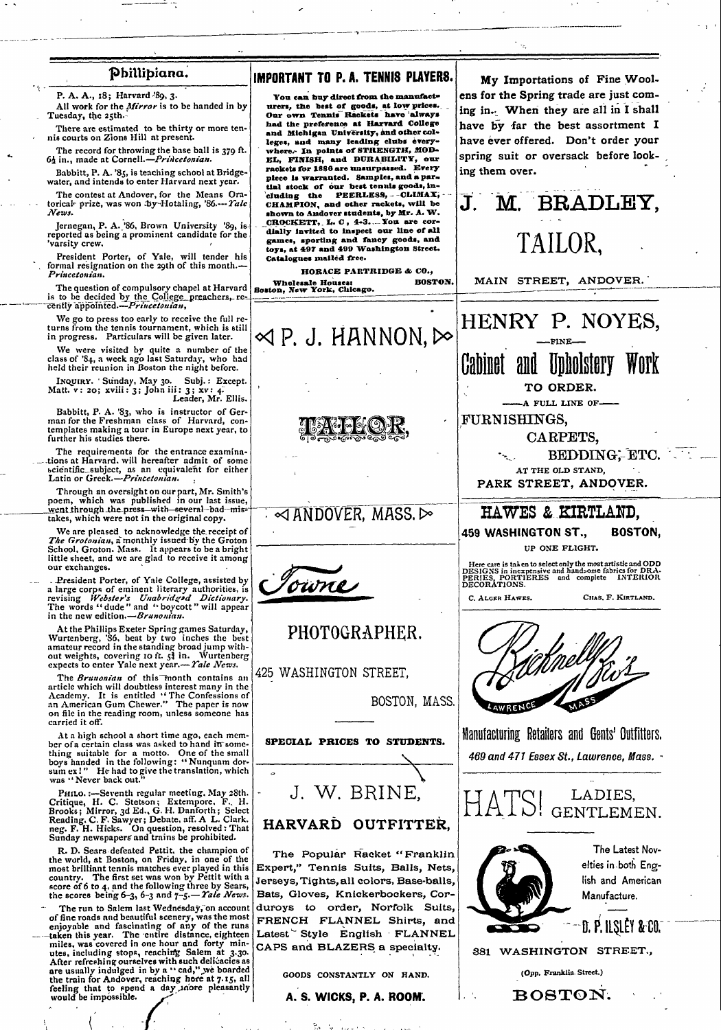### Phillipiana.

P. A. A., 18; Harvard '89, 3.

All work for the Mirror is to be handed in by Tuesday, the 25th.

There are estimated to be thirty or more tennis courts on Zions Hill at present

The record for throwing the base ball is 379 ft.<br>64 in., made at Cornell.—Princetonian.

Babbitt, P. A. '85, is teaching school at Bridge-<br>water, and intends to enter Harvard next year.

The contest at Andover, for the Means Oratorical prize, was won Dy-Hotaling, '86.--- Yale News.

Jernegan, P. A. '86, Brown University '89, is reported as being a prominent candidate for the varsity crew.

President Porter, of Yale, will tender his<br>formal resignation on the 29th of this month.-Princetonian.

The question of compulsory chapel at Harvard Boston, New York, Chicago. is to be decided by the College preachers, re-

We go to press too early to receive the full re turns from the tennis tournament, which is still<br>in progress. Particulars will be given later.

We were visited by quite a number of the class of  $34$ , a week ago last Saturday, who had held their reunion in Boston the night before.

heid tuen toun...<br>Inquinx. Sunday, May 30. Subj.: Except.<br>Matt. v: 20; xvili: 3; John iii: 3; xv: 4.<br>Leader, Mr. Ellis.

Babbitt, P. A. '83, who is instructor of German for the Freshman class of Harvard, contemplates making a tour in Europe next year, to further his studies there.

The requirements for the entrance examina-<br>tions at Harvard, will hereafter admit of some scientific subject, as an equivalent for either<br>Latin or Greek.—*Princetonian*.

Through an oversight on our part, Mr. Smith's nown, which was published in our last issue,<br>went through the press—with—several-bad-mis-<br>takes, which were not in the original copy.

We are pleased to acknowledge the receipt of The Grotonian, a monthly issued by the Groton School, Groton. Mass. It appears to be a bright little sheet, and we are glad to receive it among our exchanges.

. President Porter, of Yale College, assisted by<br>a large corps of eminent literary authorities, is<br>revising *Webster's Unabridged Dictionary*.<br>The words "dude" and "boycott" will appear<br>in the new edition.— $Brunonian$ .

At the Phillips Exeter Spring games Saturday,<br>Wurtenberg, '86, beat by two inches the best<br>amateur record in the standing broad jump with-<br>out weights, covering 10 ft.  $5\frac{3}{3}$  in. Wurtenberg<br>expects to enter Yale next

The Brunonian of this month contains an The Brandon of this montificant sum<br>article which will doubtless interest many in the<br>Academy. It is entitled "The Confessions of<br>an American Gum Chewer." The paper is now<br>on file in the reading room, unless someone has carried it off.

At a high school a short time ago, each mem-At a might school a since the age, can mention of a certain class was asked to hand in something suitable for a motto. One of the small boys handed in the following: "Nunquam dorsum ex!" He had to give the translation, whi

PHILO. :--Seventh regular meeting, May 28th. Fillio.:---Seventh regular meeting, and Youth Brooks; Mirror, 3d Ed., G. H. Danforth; Select Reading. C. F. Sawyer; Debate, aff. A L. Clark.<br>Rrooks; Mirror, 3d Ed., G. H. Danforth; Select Reading. C. F. Sawyer; Debate, aff

R. D. Sears defeated Pettit, the champion of<br>the world, at Boston, on Friday, in one of the<br>most brilliant tennis matches ever played in this<br>matches ever played in this country. The first set was won by Pettit with a<br>score of 6 to 4, and the following three by Sears,<br>the scores being 6-3, 6-3 and  $7-5$ . Tale News.

The run to Salem last Wednesday, on account The run to Salem last Wednesday, on account<br>of fine roads and beautiful scenery, was the most<br>enjoyable and fascinating of any of the runs<br>t-taken this year. The entire distance, eighteen<br>miles, was covered in one hour an feeling that to spend a day , nore pleasantly<br>would be impossible.

# IMPORTANT TO P. A. TENNIS PLAYERS.

You can buy direct from the manufacturers, the best of goods, at low prices.<br>Our own Tennis Rackets have always had the preference at Harvard College and Michigan University, and other colleges, and many leading clubs every-In points of STRENGTH, MOD-EL, FINISH, and DURABILITY, our rackets for 1886 are unsurpassed. Every rackets for 1880 are unaurpassed. Every<br>piece is warratied. Samples, and a par-<br>tial stock of our best tenus goods, in-<br>cluding the PEERLESS, --CLIMAX;<br>CHAMPION, and other rackets, will be<br>shown to Andover students, by Mr. games, sporting and fancy goods, and toys, at 497 and 499 Washington Street.<br>Catalogues mailed free.

HORACE PARTRIDGE  $\&$  CO.,



My Importations of Fine Woolens for the Spring trade are just coming in. When they are all in I shall have by far the best assortment I have ever offered. Don't order your spring suit or oversack before looking them over.

TAILOR,

М.

J.

**BRADLEY,**